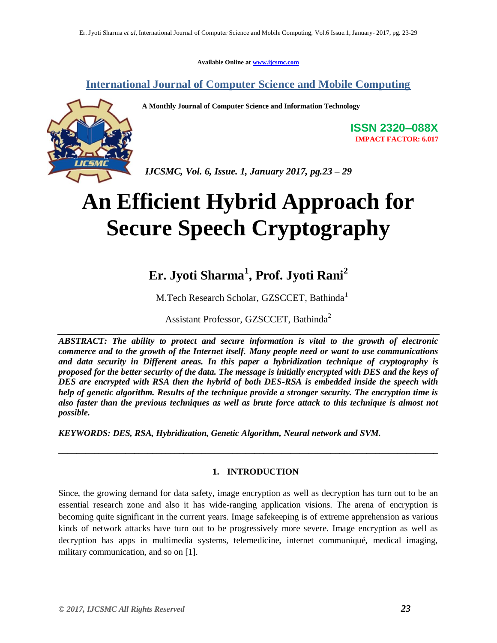**Available Online at www.ijcsmc.com**

**International Journal of Computer Science and Mobile Computing**

**A Monthly Journal of Computer Science and Information Technology**



**ISSN 2320–088X IMPACT FACTOR: 6.017**

 *IJCSMC, Vol. 6, Issue. 1, January 2017, pg.23 – 29*

# **An Efficient Hybrid Approach for Secure Speech Cryptography**

## **Er. Jyoti Sharma<sup>1</sup> , Prof. Jyoti Rani<sup>2</sup>**

M.Tech Research Scholar, GZSCCET, Bathinda<sup>1</sup>

Assistant Professor, GZSCCET, Bathinda<sup>2</sup>

*ABSTRACT: The ability to protect and secure information is vital to the growth of electronic commerce and to the growth of the Internet itself. Many people need or want to use communications and data security in Different areas. In this paper a hybridization technique of cryptography is proposed for the better security of the data. The message is initially encrypted with DES and the keys of DES are encrypted with RSA then the hybrid of both DES-RSA is embedded inside the speech with help of genetic algorithm. Results of the technique provide a stronger security. The encryption time is also faster than the previous techniques as well as brute force attack to this technique is almost not possible.*

*KEYWORDS: DES, RSA, Hybridization, Genetic Algorithm, Neural network and SVM.*

#### **1. INTRODUCTION**

**\_\_\_\_\_\_\_\_\_\_\_\_\_\_\_\_\_\_\_\_\_\_\_\_\_\_\_\_\_\_\_\_\_\_\_\_\_\_\_\_\_\_\_\_\_\_\_\_\_\_\_\_\_\_\_\_\_\_\_\_\_\_\_\_\_\_\_\_\_\_\_\_\_\_\_\_\_\_\_\_\_\_\_\_\_**

Since, the growing demand for data safety, image encryption as well as decryption has turn out to be an essential research zone and also it has wide-ranging application visions. The arena of encryption is becoming quite significant in the current years. Image safekeeping is of extreme apprehension as various kinds of network attacks have turn out to be progressively more severe. Image encryption as well as decryption has apps in multimedia systems, telemedicine, internet communiqué, medical imaging, military communication, and so on [1].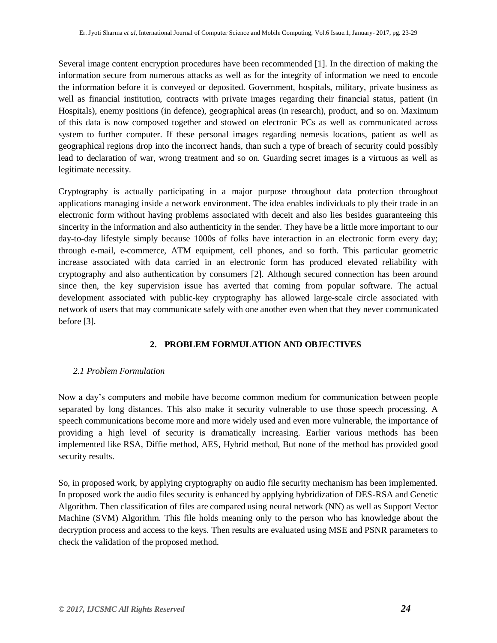Several image content encryption procedures have been recommended [1]. In the direction of making the information secure from numerous attacks as well as for the integrity of information we need to encode the information before it is conveyed or deposited. Government, hospitals, military, private business as well as financial institution, contracts with private images regarding their financial status, patient (in Hospitals), enemy positions (in defence), geographical areas (in research), product, and so on. Maximum of this data is now composed together and stowed on electronic PCs as well as communicated across system to further computer. If these personal images regarding nemesis locations, patient as well as geographical regions drop into the incorrect hands, than such a type of breach of security could possibly lead to declaration of war, wrong treatment and so on. Guarding secret images is a virtuous as well as legitimate necessity.

Cryptography is actually participating in a major purpose throughout data protection throughout applications managing inside a network environment. The idea enables individuals to ply their trade in an electronic form without having problems associated with deceit and also lies besides guaranteeing this sincerity in the information and also authenticity in the sender. They have be a little more important to our day-to-day lifestyle simply because 1000s of folks have interaction in an electronic form every day; through e-mail, e-commerce, ATM equipment, cell phones, and so forth. This particular geometric increase associated with data carried in an electronic form has produced elevated reliability with cryptography and also authentication by consumers [2]. Although secured connection has been around since then, the key supervision issue has averted that coming from popular software. The actual development associated with public-key cryptography has allowed large-scale circle associated with network of users that may communicate safely with one another even when that they never communicated before [3].

#### **2. PROBLEM FORMULATION AND OBJECTIVES**

#### *2.1 Problem Formulation*

Now a day's computers and mobile have become common medium for communication between people separated by long distances. This also make it security vulnerable to use those speech processing. A speech communications become more and more widely used and even more vulnerable, the importance of providing a high level of security is dramatically increasing. Earlier various methods has been implemented like RSA, Diffie method, AES, Hybrid method, But none of the method has provided good security results.

So, in proposed work, by applying cryptography on audio file security mechanism has been implemented. In proposed work the audio files security is enhanced by applying hybridization of DES-RSA and Genetic Algorithm. Then classification of files are compared using neural network (NN) as well as Support Vector Machine (SVM) Algorithm. This file holds meaning only to the person who has knowledge about the decryption process and access to the keys. Then results are evaluated using MSE and PSNR parameters to check the validation of the proposed method.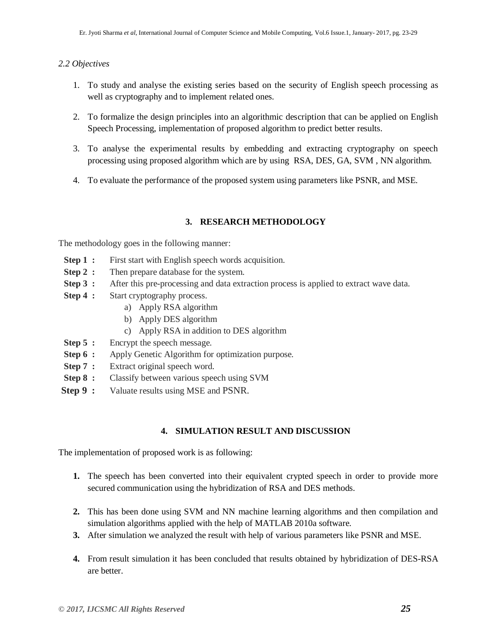#### *2.2 Objectives*

- 1. To study and analyse the existing series based on the security of English speech processing as well as cryptography and to implement related ones.
- 2. To formalize the design principles into an algorithmic description that can be applied on English Speech Processing, implementation of proposed algorithm to predict better results.
- 3. To analyse the experimental results by embedding and extracting cryptography on speech processing using proposed algorithm which are by using RSA, DES, GA, SVM , NN algorithm.
- 4. To evaluate the performance of the proposed system using parameters like PSNR, and MSE.

#### **3. RESEARCH METHODOLOGY**

The methodology goes in the following manner:

- **Step 1 :** First start with English speech words acquisition.
- **Step 2 :** Then prepare database for the system.
- **Step 3 :** After this pre-processing and data extraction process is applied to extract wave data.
- **Step 4 :** Start cryptography process.
	- a) Apply RSA algorithm
	- b) Apply DES algorithm
	- c) Apply RSA in addition to DES algorithm
- **Step 5 :** Encrypt the speech message.
- **Step 6 :** Apply Genetic Algorithm for optimization purpose.
- **Step 7 :** Extract original speech word.
- **Step 8 :** Classify between various speech using SVM
- **Step 9 :** Valuate results using MSE and PSNR.

#### **4. SIMULATION RESULT AND DISCUSSION**

The implementation of proposed work is as following:

- **1.** The speech has been converted into their equivalent crypted speech in order to provide more secured communication using the hybridization of RSA and DES methods.
- **2.** This has been done using SVM and NN machine learning algorithms and then compilation and simulation algorithms applied with the help of MATLAB 2010a software.
- **3.** After simulation we analyzed the result with help of various parameters like PSNR and MSE.
- **4.** From result simulation it has been concluded that results obtained by hybridization of DES-RSA are better.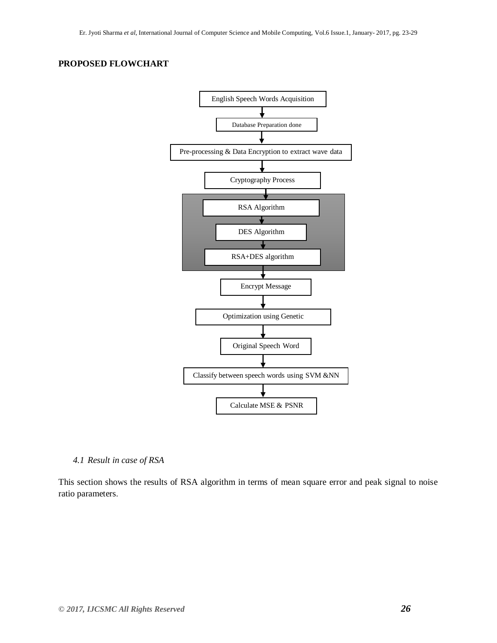#### **PROPOSED FLOWCHART**



#### *4.1 Result in case of RSA*

This section shows the results of RSA algorithm in terms of mean square error and peak signal to noise ratio parameters.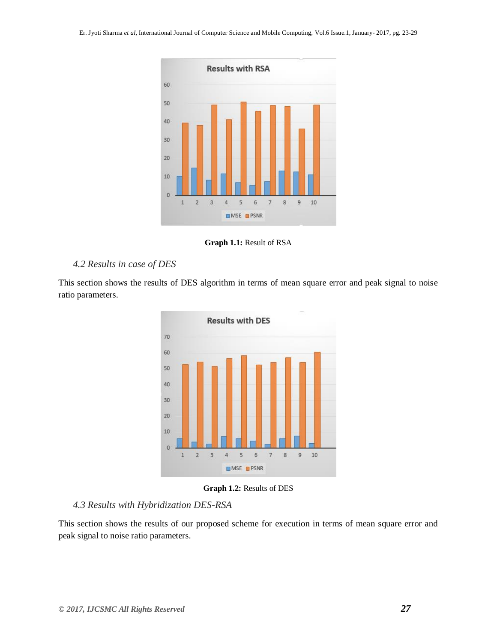Er. Jyoti Sharma *et al*, International Journal of Computer Science and Mobile Computing, Vol.6 Issue.1, January- 2017, pg. 23-29



**Graph 1.1:** Result of RSA

#### *4.2 Results in case of DES*

This section shows the results of DES algorithm in terms of mean square error and peak signal to noise ratio parameters.



**Graph 1.2:** Results of DES

#### *4.3 Results with Hybridization DES-RSA*

This section shows the results of our proposed scheme for execution in terms of mean square error and peak signal to noise ratio parameters.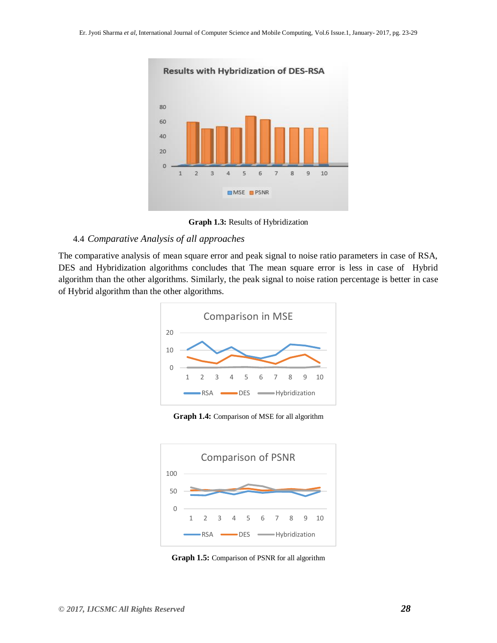

**Graph 1.3:** Results of Hybridization

#### 4.4 *Comparative Analysis of all approaches*

The comparative analysis of mean square error and peak signal to noise ratio parameters in case of RSA, DES and Hybridization algorithms concludes that The mean square error is less in case of Hybrid algorithm than the other algorithms. Similarly, the peak signal to noise ration percentage is better in case of Hybrid algorithm than the other algorithms.



**Graph 1.4:** Comparison of MSE for all algorithm



**Graph 1.5:** Comparison of PSNR for all algorithm